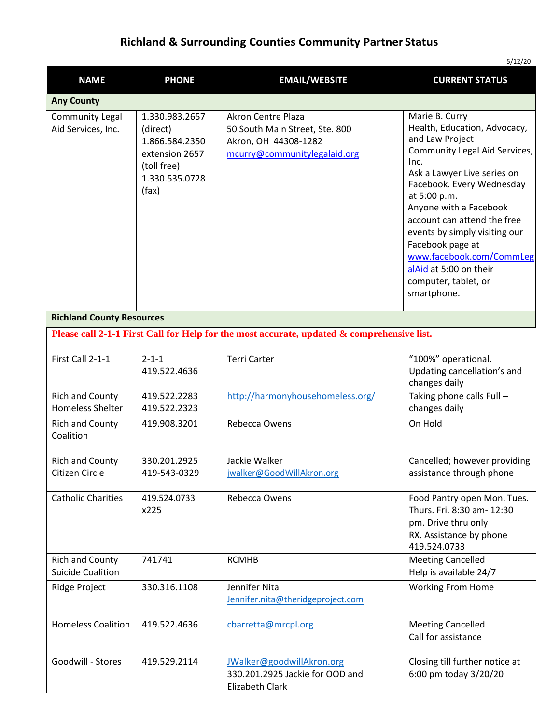## **Richland & Surrounding Counties Community Partner Status**

| 5/12/20                                                                                    |                                                                                                          |                                                                                                              |                                                                                                                                                                                                                                                                                                                                                                                                   |  |
|--------------------------------------------------------------------------------------------|----------------------------------------------------------------------------------------------------------|--------------------------------------------------------------------------------------------------------------|---------------------------------------------------------------------------------------------------------------------------------------------------------------------------------------------------------------------------------------------------------------------------------------------------------------------------------------------------------------------------------------------------|--|
| <b>NAME</b>                                                                                | <b>PHONE</b>                                                                                             | <b>EMAIL/WEBSITE</b>                                                                                         | <b>CURRENT STATUS</b>                                                                                                                                                                                                                                                                                                                                                                             |  |
| <b>Any County</b>                                                                          |                                                                                                          |                                                                                                              |                                                                                                                                                                                                                                                                                                                                                                                                   |  |
| <b>Community Legal</b><br>Aid Services, Inc.                                               | 1.330.983.2657<br>(direct)<br>1.866.584.2350<br>extension 2657<br>(toll free)<br>1.330.535.0728<br>(fax) | Akron Centre Plaza<br>50 South Main Street, Ste. 800<br>Akron, OH 44308-1282<br>mcurry@communitylegalaid.org | Marie B. Curry<br>Health, Education, Advocacy,<br>and Law Project<br>Community Legal Aid Services,<br>Inc.<br>Ask a Lawyer Live series on<br>Facebook. Every Wednesday<br>at 5:00 p.m.<br>Anyone with a Facebook<br>account can attend the free<br>events by simply visiting our<br>Facebook page at<br>www.facebook.com/CommLeg<br>alAid at 5:00 on their<br>computer, tablet, or<br>smartphone. |  |
| <b>Richland County Resources</b>                                                           |                                                                                                          |                                                                                                              |                                                                                                                                                                                                                                                                                                                                                                                                   |  |
| Please call 2-1-1 First Call for Help for the most accurate, updated & comprehensive list. |                                                                                                          |                                                                                                              |                                                                                                                                                                                                                                                                                                                                                                                                   |  |
| First Call 2-1-1                                                                           | $2 - 1 - 1$<br>419.522.4636                                                                              | <b>Terri Carter</b>                                                                                          | "100%" operational.<br>Updating cancellation's and<br>changes daily                                                                                                                                                                                                                                                                                                                               |  |
| <b>Richland County</b><br><b>Homeless Shelter</b>                                          | 419.522.2283<br>419.522.2323                                                                             | http://harmonyhousehomeless.org/                                                                             | Taking phone calls Full -<br>changes daily                                                                                                                                                                                                                                                                                                                                                        |  |
| <b>Richland County</b><br>Coalition                                                        | 419.908.3201                                                                                             | Rebecca Owens                                                                                                | On Hold                                                                                                                                                                                                                                                                                                                                                                                           |  |
| <b>Richland County</b><br>Citizen Circle                                                   | 330.201.2925<br>419-543-0329                                                                             | Jackie Walker<br>jwalker@GoodWillAkron.org                                                                   | Cancelled; however providing<br>assistance through phone                                                                                                                                                                                                                                                                                                                                          |  |
| <b>Catholic Charities</b>                                                                  | 419.524.0733<br>x225                                                                                     | Rebecca Owens                                                                                                | Food Pantry open Mon. Tues.<br>Thurs. Fri. 8:30 am- 12:30<br>pm. Drive thru only<br>RX. Assistance by phone<br>419.524.0733                                                                                                                                                                                                                                                                       |  |
| <b>Richland County</b><br><b>Suicide Coalition</b>                                         | 741741                                                                                                   | <b>RCMHB</b>                                                                                                 | <b>Meeting Cancelled</b><br>Help is available 24/7                                                                                                                                                                                                                                                                                                                                                |  |
| Ridge Project                                                                              | 330.316.1108                                                                                             | Jennifer Nita<br>Jennifer.nita@theridgeproject.com                                                           | <b>Working From Home</b>                                                                                                                                                                                                                                                                                                                                                                          |  |
| <b>Homeless Coalition</b>                                                                  | 419.522.4636                                                                                             | cbarretta@mrcpl.org                                                                                          | <b>Meeting Cancelled</b><br>Call for assistance                                                                                                                                                                                                                                                                                                                                                   |  |
| Goodwill - Stores                                                                          | 419.529.2114                                                                                             | JWalker@goodwillAkron.org<br>330.201.2925 Jackie for OOD and<br>Elizabeth Clark                              | Closing till further notice at<br>6:00 pm today 3/20/20                                                                                                                                                                                                                                                                                                                                           |  |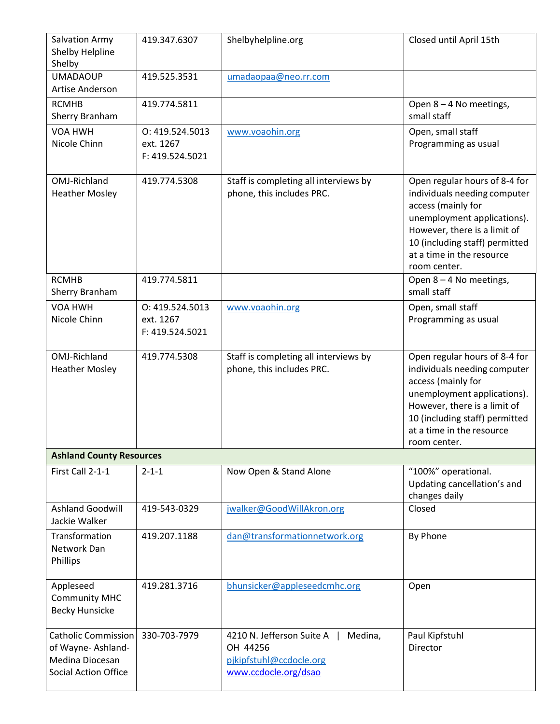| Salvation Army<br>Shelby Helpline<br>Shelby                                                | 419.347.6307                                    | Shelbyhelpline.org                                                                                  | Closed until April 15th                                                                                                                                                                                                           |  |  |
|--------------------------------------------------------------------------------------------|-------------------------------------------------|-----------------------------------------------------------------------------------------------------|-----------------------------------------------------------------------------------------------------------------------------------------------------------------------------------------------------------------------------------|--|--|
| <b>UMADAOUP</b><br>Artise Anderson                                                         | 419.525.3531                                    | umadaopaa@neo.rr.com                                                                                |                                                                                                                                                                                                                                   |  |  |
| <b>RCMHB</b><br>Sherry Branham                                                             | 419.774.5811                                    |                                                                                                     | Open 8 - 4 No meetings,<br>small staff                                                                                                                                                                                            |  |  |
| VOA HWH<br>Nicole Chinn                                                                    | O: 419.524.5013<br>ext. 1267<br>F: 419.524.5021 | www.voaohin.org                                                                                     | Open, small staff<br>Programming as usual                                                                                                                                                                                         |  |  |
| OMJ-Richland<br><b>Heather Mosley</b>                                                      | 419.774.5308                                    | Staff is completing all interviews by<br>phone, this includes PRC.                                  | Open regular hours of 8-4 for<br>individuals needing computer<br>access (mainly for<br>unemployment applications).<br>However, there is a limit of<br>10 (including staff) permitted<br>at a time in the resource<br>room center. |  |  |
| <b>RCMHB</b><br>Sherry Branham                                                             | 419.774.5811                                    |                                                                                                     | Open 8 - 4 No meetings,<br>small staff                                                                                                                                                                                            |  |  |
| VOA HWH<br>Nicole Chinn                                                                    | 0:419.524.5013<br>ext. 1267<br>F: 419.524.5021  | www.voaohin.org                                                                                     | Open, small staff<br>Programming as usual                                                                                                                                                                                         |  |  |
| OMJ-Richland<br><b>Heather Mosley</b>                                                      | 419.774.5308                                    | Staff is completing all interviews by<br>phone, this includes PRC.                                  | Open regular hours of 8-4 for<br>individuals needing computer<br>access (mainly for<br>unemployment applications).<br>However, there is a limit of<br>10 (including staff) permitted<br>at a time in the resource<br>room center. |  |  |
| <b>Ashland County Resources</b>                                                            |                                                 |                                                                                                     |                                                                                                                                                                                                                                   |  |  |
| First Call 2-1-1                                                                           | $2 - 1 - 1$                                     | Now Open & Stand Alone                                                                              | "100%" operational.<br>Updating cancellation's and<br>changes daily                                                                                                                                                               |  |  |
| <b>Ashland Goodwill</b><br>Jackie Walker                                                   | 419-543-0329                                    | jwalker@GoodWillAkron.org                                                                           | Closed                                                                                                                                                                                                                            |  |  |
| Transformation<br>Network Dan<br>Phillips                                                  | 419.207.1188                                    | dan@transformationnetwork.org                                                                       | By Phone                                                                                                                                                                                                                          |  |  |
| Appleseed<br><b>Community MHC</b><br><b>Becky Hunsicke</b>                                 | 419.281.3716                                    | bhunsicker@appleseedcmhc.org                                                                        | Open                                                                                                                                                                                                                              |  |  |
| Catholic Commission<br>of Wayne-Ashland-<br>Medina Diocesan<br><b>Social Action Office</b> | 330-703-7979                                    | 4210 N. Jefferson Suite A<br>Medina,<br>OH 44256<br>pjkipfstuhl@ccdocle.org<br>www.ccdocle.org/dsao | Paul Kipfstuhl<br>Director                                                                                                                                                                                                        |  |  |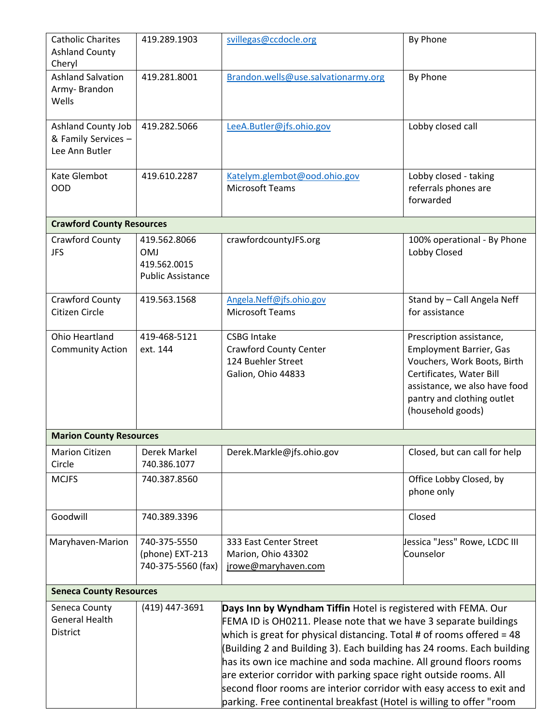| <b>Catholic Charites</b>         | 419.289.1903                                                                                                                                    | svillegas@ccdocle.org                                                 | By Phone                       |  |  |  |
|----------------------------------|-------------------------------------------------------------------------------------------------------------------------------------------------|-----------------------------------------------------------------------|--------------------------------|--|--|--|
| <b>Ashland County</b>            |                                                                                                                                                 |                                                                       |                                |  |  |  |
| Cheryl                           |                                                                                                                                                 |                                                                       |                                |  |  |  |
| <b>Ashland Salvation</b>         | 419.281.8001                                                                                                                                    | Brandon.wells@use.salvationarmy.org                                   | By Phone                       |  |  |  |
| Army-Brandon                     |                                                                                                                                                 |                                                                       |                                |  |  |  |
| Wells                            |                                                                                                                                                 |                                                                       |                                |  |  |  |
| Ashland County Job               | 419.282.5066                                                                                                                                    | LeeA.Butler@jfs.ohio.gov                                              | Lobby closed call              |  |  |  |
| & Family Services -              |                                                                                                                                                 |                                                                       |                                |  |  |  |
| Lee Ann Butler                   |                                                                                                                                                 |                                                                       |                                |  |  |  |
|                                  |                                                                                                                                                 |                                                                       |                                |  |  |  |
| Kate Glembot                     | 419.610.2287                                                                                                                                    | Katelym.glembot@ood.ohio.gov                                          | Lobby closed - taking          |  |  |  |
| <b>OOD</b>                       |                                                                                                                                                 | <b>Microsoft Teams</b>                                                | referrals phones are           |  |  |  |
|                                  |                                                                                                                                                 |                                                                       | forwarded                      |  |  |  |
|                                  |                                                                                                                                                 |                                                                       |                                |  |  |  |
| <b>Crawford County Resources</b> |                                                                                                                                                 |                                                                       |                                |  |  |  |
| Crawford County                  | 419.562.8066                                                                                                                                    | crawfordcountyJFS.org                                                 | 100% operational - By Phone    |  |  |  |
| <b>JFS</b>                       | <b>OMJ</b>                                                                                                                                      |                                                                       | Lobby Closed                   |  |  |  |
|                                  | 419.562.0015                                                                                                                                    |                                                                       |                                |  |  |  |
|                                  | <b>Public Assistance</b>                                                                                                                        |                                                                       |                                |  |  |  |
| Crawford County                  | 419.563.1568                                                                                                                                    | Angela.Neff@jfs.ohio.gov                                              | Stand by - Call Angela Neff    |  |  |  |
| Citizen Circle                   |                                                                                                                                                 | <b>Microsoft Teams</b>                                                | for assistance                 |  |  |  |
|                                  |                                                                                                                                                 |                                                                       |                                |  |  |  |
| Ohio Heartland                   | 419-468-5121                                                                                                                                    | <b>CSBG Intake</b>                                                    | Prescription assistance,       |  |  |  |
| <b>Community Action</b>          | ext. 144                                                                                                                                        | <b>Crawford County Center</b>                                         | <b>Employment Barrier, Gas</b> |  |  |  |
|                                  |                                                                                                                                                 | 124 Buehler Street                                                    | Vouchers, Work Boots, Birth    |  |  |  |
|                                  |                                                                                                                                                 | Galion, Ohio 44833                                                    | Certificates, Water Bill       |  |  |  |
|                                  |                                                                                                                                                 |                                                                       | assistance, we also have food  |  |  |  |
|                                  |                                                                                                                                                 |                                                                       | pantry and clothing outlet     |  |  |  |
|                                  |                                                                                                                                                 |                                                                       | (household goods)              |  |  |  |
|                                  | <b>Marion County Resources</b>                                                                                                                  |                                                                       |                                |  |  |  |
| <b>Marion Citizen</b>            | Derek Markel                                                                                                                                    | Derek.Markle@jfs.ohio.gov                                             | Closed, but can call for help  |  |  |  |
| Circle                           | 740.386.1077                                                                                                                                    |                                                                       |                                |  |  |  |
| <b>MCJFS</b>                     | 740.387.8560                                                                                                                                    |                                                                       | Office Lobby Closed, by        |  |  |  |
|                                  |                                                                                                                                                 |                                                                       | phone only                     |  |  |  |
|                                  |                                                                                                                                                 |                                                                       |                                |  |  |  |
| Goodwill                         | 740.389.3396                                                                                                                                    |                                                                       | Closed                         |  |  |  |
|                                  |                                                                                                                                                 |                                                                       |                                |  |  |  |
| Maryhaven-Marion                 | 740-375-5550                                                                                                                                    | 333 East Center Street                                                | Jessica "Jess" Rowe, LCDC III  |  |  |  |
|                                  | (phone) EXT-213                                                                                                                                 | Marion, Ohio 43302                                                    | Counselor                      |  |  |  |
|                                  | 740-375-5560 (fax)                                                                                                                              | jrowe@maryhaven.com                                                   |                                |  |  |  |
|                                  |                                                                                                                                                 |                                                                       |                                |  |  |  |
| <b>Seneca County Resources</b>   |                                                                                                                                                 |                                                                       |                                |  |  |  |
| Seneca County                    | (419) 447-3691                                                                                                                                  | Days Inn by Wyndham Tiffin Hotel is registered with FEMA. Our         |                                |  |  |  |
| General Health                   | FEMA ID is OH0211. Please note that we have 3 separate buildings                                                                                |                                                                       |                                |  |  |  |
| District                         | which is great for physical distancing. Total # of rooms offered = 48<br>(Building 2 and Building 3). Each building has 24 rooms. Each building |                                                                       |                                |  |  |  |
|                                  |                                                                                                                                                 |                                                                       |                                |  |  |  |
|                                  |                                                                                                                                                 | has its own ice machine and soda machine. All ground floors rooms     |                                |  |  |  |
|                                  |                                                                                                                                                 | are exterior corridor with parking space right outside rooms. All     |                                |  |  |  |
|                                  |                                                                                                                                                 | second floor rooms are interior corridor with easy access to exit and |                                |  |  |  |
|                                  |                                                                                                                                                 | parking. Free continental breakfast (Hotel is willing to offer "room  |                                |  |  |  |